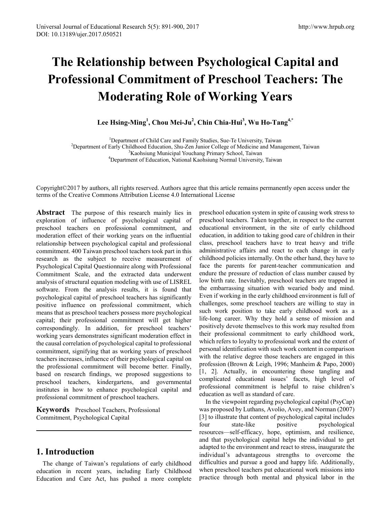# **The Relationship between Psychological Capital and Professional Commitment of Preschool Teachers: The Moderating Role of Working Years**

**Lee Hsing-Ming<sup>1</sup> , Chou Mei-Ju2 , Chin Chia-Hui<sup>3</sup> , Wu Ho-Tang4,\***

<sup>1</sup> Department of Child Care and Family Studies, Sue-Te University, Taiwan<br><sup>2</sup> Department of Early Childhood Education, Shu Zan Junior Collage of Medicine and Manu  $<sup>2</sup>$ Department of Early Childhood Education, Shu-Zen Junior College of Medicine and Management, Taiwan</sup> <sup>3</sup>Kaohsiung Municipal Youchang Primary School, Taiwan <sup>4</sup>Department of Education, National Kaohsiung Normal University, Taiwan

Copyright©2017 by authors, all rights reserved. Authors agree that this article remains permanently open access under the terms of the Creative Commons Attribution License 4.0 International License

**Abstract** The purpose of this research mainly lies in exploration of influence of psychological capital of preschool teachers on professional commitment, and moderation effect of their working years on the influential relationship between psychological capital and professional commitment. 400 Taiwan preschool teachers took part in this research as the subject to receive measurement of Psychological Capital Questionnaire along with Professional Commitment Scale, and the extracted data underwent analysis of structural equation modeling with use of LISREL software. From the analysis results, it is found that psychological capital of preschool teachers has significantly positive influence on professional commitment, which means that as preschool teachers possess more psychological capital; their professional commitment will get higher correspondingly. In addition, for preschool teachers' working years demonstrates significant moderation effect in the causal correlation of psychological capital to professional commitment, signifying that as working years of preschool teachers increases, influence of their psychological capital on the professional commitment will become better. Finally, based on research findings, we proposed suggestions to preschool teachers, kindergartens, and governmental institutes in how to enhance psychological capital and professional commitment of preschool teachers.

**Keywords** Preschool Teachers, Professional Commitment, Psychological Capital

## **1. Introduction**

The change of Taiwan's regulations of early childhood education in recent years, including Early Childhood Education and Care Act, has pushed a more complete preschool education system in spite of causing work stress to preschool teachers. Taken together, in respect to the current educational environment, in the site of early childhood education, in addition to taking good care of children in their class, preschool teachers have to treat heavy and trifle administrative affairs and react to each change in early childhood policies internally. On the other hand, they have to face the parents for parent-teacher communication and endure the pressure of reduction of class number caused by low birth rate. Inevitably, preschool teachers are trapped in the embarrassing situation with wearied body and mind. Even if working in the early childhood environment is full of challenges, some preschool teachers are willing to stay in such work position to take early childhood work as a life-long career. Why they hold a sense of mission and positively devote themselves to this work may resulted from their professional commitment to early childhood work, which refers to loyalty to professional work and the extent of personal identification with such work content in comparison with the relative degree those teachers are engaged in this profession (Brown & Leigh, 1996; Manheim & Papo, 2000) [1, 2]. Actually, in encountering those tangling and complicated educational issues' facets, high level of professional commitment is helpful to raise children's education as well as standard of care.

In the viewpoint regarding psychological capital (PsyCap) was proposed by Luthans, Avolio, Avey, and Norman (2007) [3] to illustrate that content of psychological capital includes four state-like positive psychological resources—self-efficacy, hope, optimism, and resilience, and that psychological capital helps the individual to get adapted to the environment and react to stress, inaugurate the individual's advantageous strengths to overcome the difficulties and pursue a good and happy life. Additionally, when preschool teachers put educational work missions into practice through both mental and physical labor in the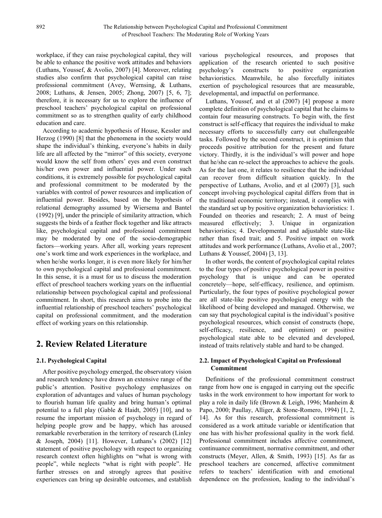workplace, if they can raise psychological capital, they will be able to enhance the positive work attitudes and behaviors (Luthans, Youssef, & Avolio, 2007) [4]. Moreover, relating studies also confirm that psychological capital can raise professional commitment (Avey, Wernsing, & Luthans, 2008; Luthans, & Jensen, 2005; Zhong, 2007) [5, 6, 7]; therefore, it is necessary for us to explore the influence of preschool teachers' psychological capital on professional commitment so as to strengthen quality of early childhood education and care.

According to academic hypothesis of House, Kessler and Herzog (1990) [8] that the phenomena in the society would shape the individual's thinking, everyone's habits in daily life are all affected by the "mirror" of this society, everyone would know the self from others' eyes and even construct his/her own power and influential power. Under such conditions, it is extremely possible for psychological capital and professional commitment to be moderated by the variables with control of power resources and implication of influential power. Besides, based on the hypothesis of relational demography assumed by Wiersema and Bantel (1992) [9], under the principle of similarity attraction, which suggests the birds of a feather flock together and like attracts like, psychological capital and professional commitment may be moderated by one of the socio-demographic factors—working years. After all, working years represent one's work time and work experiences in the workplace, and when he/she works longer, it is even more likely for him/her to own psychological capital and professional commitment. In this sense, it is a must for us to discuss the moderation effect of preschool teachers working years on the influential relationship between psychological capital and professional commitment. In short, this research aims to probe into the influential relationship of preschool teachers' psychological capital on professional commitment, and the moderation effect of working years on this relationship.

# **2. Review Related Literature**

#### **2.1. Psychological Capital**

After positive psychology emerged, the observatory vision and research tendency have drawn an extensive range of the public's attention. Positive psychology emphasizes on exploration of advantages and values of human psychology to flourish human life quality and bring human's optimal potential to a full play (Gable & Haidt, 2005) [10], and to resume the important mission of psychology in regard of helping people grow and be happy, which has aroused remarkable reverberation in the territory of research (Linley & Joseph, 2004) [11]. However, Luthans's (2002) [12] statement of positive psychology with respect to organizing research context often highlights on "what is wrong with people", while neglects "what is right with people". He further stresses on and strongly agrees that positive experiences can bring up desirable outcomes, and establish

various psychological resources, and proposes that application of the research oriented to such positive psychology's constructs to positive organization behavioristics. Meanwhile, he also forcefully initiates exertion of psychological resources that are measurable, developmental, and impactful on performance.

Luthans, Youssef, and et al (2007) [4] propose a more complete definition of psychological capital that he claims to contain four measuring constructs. To begin with, the first construct is self-efficacy that requires the individual to make necessary efforts to successfully carry out challengeable tasks. Followed by the second construct, it is optimism that proceeds positive attribution for the present and future victory. Thirdly, it is the individual's will power and hope that he/she can re-select the approaches to achieve the goals. As for the last one, it relates to resilience that the individual can recover from difficult situation quickly. In the perspective of Luthans, Avolio, and et al (2007) [3], such concept involving psychological capital differs from that in the traditional economic territory; instead, it complies with the standard set up by positive organization behavioristics: 1. Founded on theories and research; 2. A must of being measured effectively; 3. Unique in organization behavioristics; 4. Developmental and adjustable state-like rather than fixed trait; and 5. Positive impact on work attitudes and work performance (Luthans, Avolio et al., 2007; Luthans & Youssef, 2004) [3, 13].

In other words, the content of psychological capital relates to the four types of positive psychological power in positive psychology that is unique and can be operated concretely—hope, self-efficacy, resilience, and optimism. Particularly, the four types of positive psychological power are all state-like positive psychological energy with the likelihood of being developed and managed. Otherwise, we can say that psychological capital is the individual's positive psychological resources, which consist of constructs (hope, self-efficacy, resilience, and optimism) or positive psychological state able to be elevated and developed, instead of traits relatively stable and hard to be changed.

#### **2.2. Impact of Psychological Capital on Professional Commitment**

Definitions of the professional commitment construct range from how one is engaged in carrying out the specific tasks in the work environment to how important for work to play a role in daily life (Brown & Leigh, 1996; Manheim & Papo, 2000; Paullay, Alliger, & Stone-Romero, 1994) [1, 2, 14]. As for this research, professional commitment is considered as a work attitude variable or identification that one has with his/her professional quality in the work field. Professional commitment includes affective commitment, continuance commitment, normative commitment, and other constructs (Meyer, Allen, & Smith, 1993) [15]. As far as preschool teachers are concerned, affective commitment refers to teachers' identification with and emotional dependence on the profession, leading to the individual's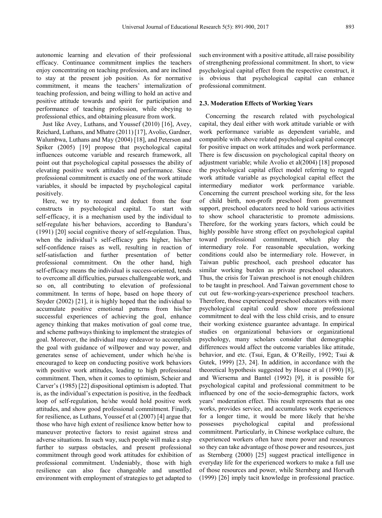autonomic learning and elevation of their professional efficacy. Continuance commitment implies the teachers enjoy concentrating on teaching profession, and are inclined to stay at the present job position. As for normative commitment, it means the teachers' internalization of teaching profession, and being willing to hold an active and positive attitude towards and spirit for participation and performance of teaching profession, while obeying to professional ethics, and obtaining pleasure from work.

Just like Avey, Luthans, and Youssef (2010) [16], Avey, Reichard, Luthans, and Mhatre (2011) [17], Avolio, Gardner, Walumbwa, Luthans and May (2004) [18], and Peterson and Spiker (2005) [19] propose that psychological capital influences outcome variable and research framework, all point out that psychological capital possesses the ability of elevating positive work attitudes and performance. Since professional commitment is exactly one of the work attitude variables, it should be impacted by psychological capital positively.

Here, we try to recount and deduct from the four constructs in psychological capital. To start with self-efficacy, it is a mechanism used by the individual to self-regulate his/her behaviors, according to Bandura's (1991) [20] social cognitive theory of self-regulation. Thus, when the individual's self-efficacy gets higher, his/her self-confidence raises as well, resulting in reaction of self-satisfaction and further presentation of better professional commitment. On the other hand, high self-efficacy means the individual is success-oriented, tends to overcome all difficulties, pursues challengeable work, and so on, all contributing to elevation of professional commitment. In terms of hope, based on hope theory of Snyder (2002) [21], it is highly hoped that the individual to accumulate positive emotional patterns from his/her successful experiences of achieving the goal, enhance agency thinking that makes motivation of goal come true, and scheme pathways thinking to implement the strategies of goal. Moreover, the individual may endeavor to accomplish the goal with guidance of willpower and way power, and generates sense of achievement, under which he/she is encouraged to keep on conducting positive work behaviors with positive work attitudes, leading to high professional commitment. Then, when it comes to optimism, Scheier and Carver's (1985) [22] dispositional optimism is adopted. That is, as the individual's expectation is positive, in the feedback loop of self-regulation, he/she would hold positive work attitudes, and show good professional commitment. Finally, for resilience, as Luthans, Youssef et al (2007) [4] argue that those who have high extent of resilience know better how to maneuver protective factors to resist against stress and adverse situations. In such way, such people will make a step further to surpass obstacles, and present professional commitment through good work attitudes for exhibition of professional commitment. Undeniably, those with high resilience can also face changeable and unsettled environment with employment of strategies to get adapted to such environment with a positive attitude, all raise possibility of strengthening professional commitment. In short, to view psychological capital effect from the respective construct, it is obvious that psychological capital can enhance professional commitment.

#### **2.3. Moderation Effects of Working Years**

Concerning the research related with psychological capital, they deal either with work attitude variable or with work performance variable as dependent variable, and compatible with above related psychological capital concept for positive impact on work attitudes and work performance. There is few discussion on psychological capital theory on adjustment variable; while Avolio et al(2004) [18] proposed the psychological capital effect model referring to regard work attitude variable as psychological capital effect the intermediary mediator work performance variable. Concerning the current preschool working site, for the less of child birth, non-profit preschool from government support, preschool educators need to hold various activities to show school characteristic to promote admissions. Therefore, for the working years factors, which could be highly possible have strong effect on psychological capital toward professional commitment, which play the intermediary role. For reasonable speculation, working conditions could also be intermediary role. However, in Taiwan public preschool, each preshool educator has similar working burden as private preschool educators. Thus, the crisis for Taiwan preschool is not enough children to be taught in preschool. And Taiwan government chose to cut out few-working-years-experience preschool teachers. Therefore, those experienced preschool educators with more psychological capital could show more professional commitment to deal with the less child crisis, and to ensure their working existence guarantee advantage. In empirical studies on organizational behaviors or organizational psychology, many scholars consider that demographic differences would affect the outcome variables like attitude, behavior, and etc. (Tsui, Egan, & O'Reilly, 1992; Tsui & Gutek, 1999) [23, 24]. In addition, in accordance with the theoretical hypothesis suggested by House et al (1990) [8], and Wiersema and Bantel (1992) [9], it is possible for psychological capital and professional commitment to be influenced by one of the socio-demographic factors, work years' moderation effect. This result represents that as one works, provides service, and accumulates work experiences for a longer time, it would be more likely that he/she possesses psychological capital and professional commitment. Particularly, in Chinese workplace culture, the experienced workers often have more power and resources so they can take advantage of those power and resources, just as Sternberg (2000) [25] suggest practical intelligence in everyday life for the experienced workers to make a full use of those resources and power, while Sternberg and Horvath (1999) [26] imply tacit knowledge in professional practice.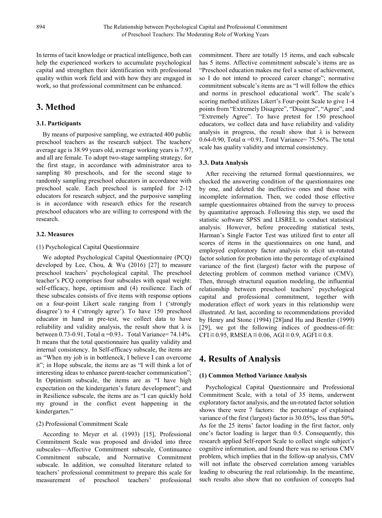In terms of tacit knowledge or practical intelligence, both can help the experienced workers to accumulate psychological capital and strengthen their identification with professional quality within work field and with how they are engaged in work, so that professional commitment can be enhanced.

# **3. Method**

### **3.1. Participants**

By means of purposive sampling, we extracted 400 public preschool teachers as the research subject. The teachers' average age is 38.99 years old, average working years is 7.97, and all are female. To adopt two-stage sampling strategy, for the first stage, in accordance with administrator area to sampling 80 preschools, and for the second stage to randomly sampling preschool educators in accordance with preschool scale. Each preschool is sampled for 2-12 educators for research subject, and the purposive sampling is in accordance with research ethics for the research preschool educators who are willing to correspond with the research.

#### **3.2. Measures**

#### (1) Psychological Capital Questionnaire

We adopted Psychological Capital Questionnaire (PCQ) developed by Lee, Chou, & Wu (2016) [27] to measure preschool teachers' psychological capital. The preschool teacher's PCQ comprises four subscales with equal weight: self-efficacy, hope, optimism and (4) resilience. Each of these subscales consists of five items with response options on a four-point Likert scale ranging from 1 ('strongly disagree') to 4 ('strongly agree'). To have 150 preschool educator in hand in pre-test, we collect data to have reliability and validity analysis, the result show that  $\lambda$  is between 0.73-0.91, Total  $\alpha$ =0.93, Total Variance= 74.14%. It means that the total questionnaire has quality validity and internal consistency. In Self-efficacy subscale, the items are as "When my job is in bottleneck, I believe I can overcome it"; in Hope subscale, the items are as "I will think a lot of interesting ideas to enhance parent-teacher communication"; In Optimism subscale, the items are as "I have high expectation on the kindergarten's future development"; and in Resilience subscale, the items are as "I can quickly hold my ground in the conflict event happening in the kindergarten."

#### (2) Professional Commitment Scale

According to Meyer et al. (1993) [15], Professional Commitment Scale was proposed and divided into three subscales—Affective Commitment subscale, Continuance Commitment subscale, and Normative Commitment subscale. In addition, we consulted literature related to teachers' professional commitment to prepare this scale for measurement of preschool teachers' professional commitment. There are totally 15 items, and each subscale has 5 items. Affective commitment subscale's items are as "Preschool education makes me feel a sense of achievement, so I do not intend to proceed career change"; normative commitment subscale's items are as "I will follow the ethics and norms in preschool educational work". The scale's scoring method utilizes Likert's Four-point Scale to give 1-4 points from "Extremely Disagree", "Disagree", "Agree", and "Extremely Agree". To have pretest for 150 preschool educators, we collect data and have reliability and validity analysis in progress, the result show that  $\lambda$  is between 0.64-0.90, Total  $\alpha$  =0.91, Total Variance= 75.56%. The total scale has quality validity and internal consistency.

#### **3.3. Data Analysis**

After receiving the returned formal questionnaires, we checked the answering condition of the questionnaires one by one, and deleted the ineffective ones and those with incomplete information. Then, we coded those effective sample questionnaires obtained from the survey to process by quantitative approach. Following this step, we used the statistic software SPSS and LISREL to conduct statistical analysis. However, before proceeding statistical tests, Harman's Single Factor Test was utilized first to enter all scores of items in the questionnaires on one hand, and employed exploratory factor analysis to elicit un-rotated factor solution for probation into the percentage of explained variance of the first (largest) factor with the purpose of detecting problem of common method variance (CMV). Then, through structural equation modeling, the influential relationship between preschool teachers' psychological capital and professional commitment, together with moderation effect of work years in this relationship were illustrated. At last, according to recommendations provided by Henry and Stone (1994) [28]and Hu and Bentler (1999) [29], we got the following indices of goodness-of-fit:  $CFI \ge 0.95$ , RMSEA  $\le 0.06$ , AGI $\ge 0.9$ , AGFI $\ge 0.8$ .

# **4. Results of Analysis**

#### **(1) Common Method Variance Analysis**

Psychological Capital Questionnaire and Professional Commitment Scale, with a total of 35 items, underwent exploratory factor analysis, and the un-rotated factor solution shows there were 7 factors: the percentage of explained variance of the first (largest) factor is 30.05%, less than 50%. As for the 25 items' factor loading in the first factor, only one's factor loading is larger than 0.5. Consequently, this research applied Self-report Scale to collect single subject's cognitive information, and found there was no serious CMV problem, which implies that in the follow-up analysis, CMV will not inflate the observed correlation among variables leading to obscuring the real relationship. In the meantime, such results also show that no confusion of concepts had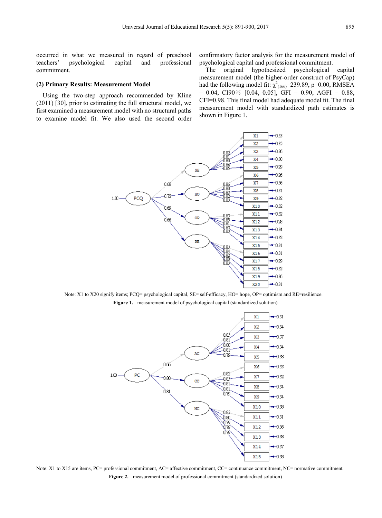occurred in what we measured in regard of preschool teachers' psychological capital and professional commitment.

#### **(2) Primary Results: Measurement Model**

Using the two-step approach recommended by Kline (2011) [30], prior to estimating the full structural model, we first examined a measurement model with no structural paths to examine model fit. We also used the second order confirmatory factor analysis for the measurement model of psychological capital and professional commitment.

The original hypothesized psychological capital measurement model (the higher-order construct of PsyCap) had the following model fit:  $\chi^2_{(166)}$ =239.89, p=0.00, RMSEA  $= 0.04$ , CI90% [0.04, 0.05], GFI = 0.90, AGFI = 0.88, CFI=0.98. This final model had adequate model fit. The final measurement model with standardized path estimates is shown in Figure 1.



Note: X1 to X20 signify items; PCQ= psychological capital, SE= self-efficacy, HO= hope, OP= optimism and RE=resilience. **Figure 1.** measurement model of psychological capital (standardized solution)



Note: X1 to X15 are items, PC= professional commitment, AC= affective commitment, CC= continuance commitment, NC= normative commitment. **Figure 2.** measurement model of professional commitment (standardized solution)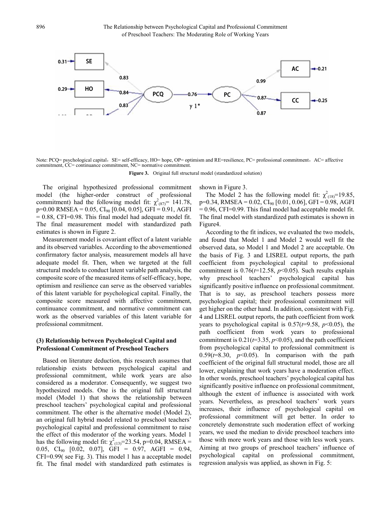Note: PCQ= psychological capital, SE= self-efficacy, HO= hope, OP= optimism and RE=resilience, PC= professional commitment, AC= affective commitment, CC= continuance commitment, NC= normative commitment.

**Figure 3.** Original full structural model (standardized solution)

The original hypothesized professional commitment model (the higher-order construct of professional commitment) had the following model fit:  $\chi^2_{(87)}$ = 141.78,  $p=0.00$  RMSEA = 0.05, CI<sub>90</sub> [0.04, 0.05], GFI = 0.91, AGFI  $= 0.88$ , CFI=0.98. This final model had adequate model fit. The final measurement model with standardized path estimates is shown in Figure 2.

Measurement model is covariant effect of a latent variable and its observed variables. According to the abovementioned confirmatory factor analysis, measurement models all have adequate model fit. Then, when we targeted at the full structural models to conduct latent variable path analysis, the composite score of the measured items of self-efficacy, hope, optimism and resilience can serve as the observed variables of this latent variable for psychological capital. Finally, the composite score measured with affective commitment, continuance commitment, and normative commitment can work as the observed variables of this latent variable for professional commitment.

#### **(3) Relationship between Psychological Capital and Professional Commitment of Preschool Teachers**

Based on literature deduction, this research assumes that relationship exists between psychological capital and professional commitment, while work years are also considered as a moderator. Consequently, we suggest two hypothesized models. One is the original full structural model (Model 1) that shows the relationship between preschool teachers' psychological capital and professional commitment. The other is the alternative model (Model 2), an original full hybrid model related to preschool teachers' psychological capital and professional commitment to raise the effect of this moderator of the working years. Model 1 has the following model fit:  $\chi^2_{(13)}$ =23.54, p=0.04, RMSEA = 0.05,  $CI_{90}$  [0.02, 0.07], GFI = 0.97, AGFI = 0.94, CFI=0.99( see Fig. 3). This model 1 has a acceptable model fit. The final model with standardized path estimates is

shown in Figure 3.

The Model 2 has the following model fit:  $\chi^2_{(18)}$ =19.85,  $p=0.34$ , RMSEA = 0.02,  $CI_{90}$  [0.01, 0.06], GFI = 0.98, AGFI  $= 0.96$ , CFI=0.99. This final model had acceptable model fit. The final model with standardized path estimates is shown in Figure4.

According to the fit indices, we evaluated the two models, and found that Model 1 and Model 2 would well fit the observed data, so Model 1 and Model 2 are acceptable. On the basis of Fig. 3 and LISREL output reports, the path coefficient from psychological capital to professional commitment is  $0.76(t=12.58, p<0.05)$ . Such results explain why preschool teachers' psychological capital has significantly positive influence on professional commitment. That is to say, as preschool teachers possess more psychological capital; their professional commitment will get higher on the other hand. In addition, consistent with Fig. 4 and LISREL output reports, the path coefficient from work years to psychological capital is  $0.57$  ( $t=9.58$ ,  $p<0.05$ ), the path coefficient from work years to professional commitment is  $0.21$  ( $t=3.35$ ,  $p<0.05$ ), and the path coefficient from psychological capital to professional commitment is  $0.59(t=8.30, p<0.05)$ . In comparison with the path coefficient of the original full structural model, those are all lower, explaining that work years have a moderation effect. In other words, preschool teachers' psychological capital has significantly positive influence on professional commitment, although the extent of influence is associated with work years. Nevertheless, as preschool teachers' work years increases, their influence of psychological capital on professional commitment will get better. In order to concretely demonstrate such moderation effect of working years, we used the median to divide preschool teachers into those with more work years and those with less work years. Aiming at two groups of preschool teachers' influence of psychological capital on professional commitment, regression analysis was applied, as shown in Fig. 5: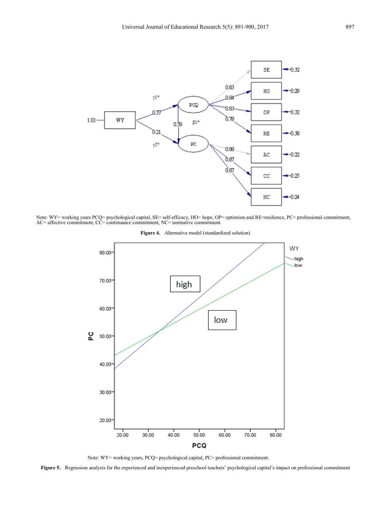

Note: WY= working years PCQ= psychological capital, SE= self-efficacy, HO= hope, OP= optimism and RE=resilience, PC= professional commitment, AC= affective commitment, CC= continuance commitment, NC= normative commitment.

**Figure 4.** Alternative model (standardized solution)



Note: WY= working years, PCQ= psychological capital, PC= professional commitment.

**Figure 5.** Regression analysis for the experienced and inexperienced preschool teachers' psychological capital's impact on professional commitment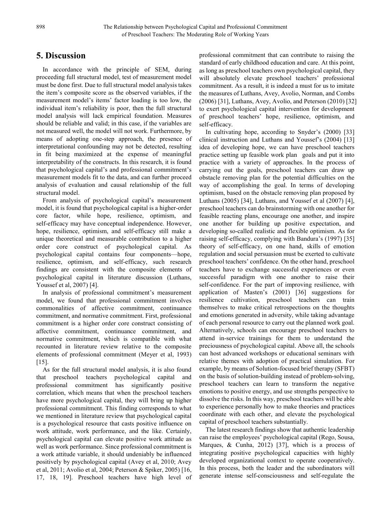# **5. Discussion**

In accordance with the principle of SEM, during proceeding full structural model, test of measurement model must be done first. Due to full structural model analysis takes the item's composite score as the observed variables, if the measurement model's items' factor loading is too low, the individual item's reliability is poor, then the full structural model analysis will lack empirical foundation. Measures should be reliable and valid; in this case, if the variables are not measured well, the model will not work. Furthermore, by means of adopting one-step approach, the presence of interpretational confounding may not be detected, resulting in fit being maximized at the expense of meaningful interpretability of the constructs. In this research, it is found that psychological capital's and professional commitment's measurement models fit to the data, and can further proceed analysis of evaluation and causal relationship of the full structural model.

From analysis of psychological capital's measurement model, it is found that psychological capital is a higher-order core factor, while hope, resilience, optimism, and self-efficacy may have conceptual independence. However, hope, resilience, optimism, and self-efficacy still make a unique theoretical and measurable contribution to a higher order core construct of psychological capital. As psychological capital contains four components—hope, resilience, optimism, and self-efficacy, such research findings are consistent with the composite elements of psychological capital in literature discussion (Luthans, Youssef et al, 2007) [4].

In analysis of professional commitment's measurement model, we found that professional commitment involves commonalities of affective commitment, continuance commitment, and normative commitment. First, professional commitment is a higher order core construct consisting of affective commitment, continuance commitment, and normative commitment, which is compatible with what recounted in literature review relative to the composite elements of professional commitment (Meyer et al, 1993)  $[15]$ .

As for the full structural model analysis, it is also found that preschool teachers psychological capital and professional commitment has significantly positive correlation, which means that when the preschool teachers have more psychological capital, they will bring up higher professional commitment. This finding corresponds to what we mentioned in literature review that psychological capital is a psychological resource that casts positive influence on work attitude, work performance, and the like. Certainly, psychological capital can elevate positive work attitude as well as work performance. Since professional commitment is a work attitude variable, it should undeniably be influenced positively by psychological capital (Avey et al, 2010; Avey et al, 2011; Avolio et al, 2004; Peterson & Spiker, 2005) [16, 17, 18, 19]. Preschool teachers have high level of professional commitment that can contribute to raising the standard of early childhood education and care. At this point, as long as preschool teachers own psychological capital, they will absolutely elevate preschool teachers' professional commitment. As a result, it is indeed a must for us to imitate the measures of Luthans, Avey, Avolio, Norman, and Combs (2006) [31], Luthans, Avey, Avolio, and Peterson (2010) [32] to exert psychological capital intervention for development of preschool teachers' hope, resilience, optimism, and self-efficacy.

In cultivating hope, according to Snyder's (2000) [33] clinical instruction and Luthans and Youssef's (2004) [13] idea of developing hope, we can have preschool teachers practice setting up feasible work plan goals and put it into practice with a variety of approaches. In the process of carrying out the goals, preschool teachers can draw up obstacle removing plan for the potential difficulties on the way of accomplishing the goal. In terms of developing optimism, based on the obstacle removing plan proposed by Luthans (2005) [34], Luthans, and Youssef et al (2007) [4], preschool teachers can do brainstorming with one another for feasible reacting plans, encourage one another, and inspire one another for building up positive expectation, and developing so-called realistic and flexible optimism. As for raising self-efficacy, complying with Bandura's (1997) [35] theory of self-efficacy, on one hand, skills of emotion regulation and social persuasion must be exerted to cultivate preschool teachers' confidence. On the other hand, preschool teachers have to exchange successful experiences or even successful paradigm with one another to raise their self-confidence. For the part of improving resilience, with application of Masten's (2001) [36] suggestions for resilience cultivation, preschool teachers can train themselves to make critical retrospections on the thoughts and emotions generated in adversity, while taking advantage of each personal resource to carry out the planned work goal. Alternatively, schools can encourage preschool teachers to attend in-service trainings for them to understand the preciousness of psychological capital. Above all, the schools can host advanced workshops or educational seminars with relative themes with adoption of practical simulation. For example, by means of Solution-focused brief therapy (SFBT) on the basis of solution-building instead of problem-solving, preschool teachers can learn to transform the negative emotions to positive energy, and use strengths perspective to dissolve the risks. In this way, preschool teachers will be able to experience personally how to make theories and practices coordinate with each other, and elevate the psychological capital of preschool teachers substantially.

The latest research findings show that authentic leadership can raise the employees' psychological capital (Rego, Sousa, Marques, & Cunha, 2012) [37], which is a process of integrating positive psychological capacities with highly developed organizational context to operate cooperatively. In this process, both the leader and the subordinators will generate intense self-consciousness and self-regulate the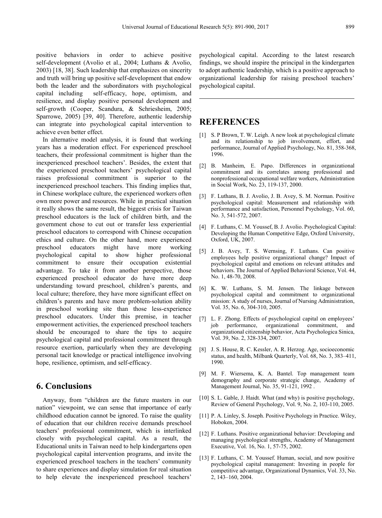positive behaviors in order to achieve positive self-development (Avolio et al., 2004; Luthans & Avolio, 2003) [18, 38]. Such leadership that emphasizes on sincerity and truth will bring up positive self-development that endow both the leader and the subordinators with psychological capital including self-efficacy, hope, optimism, and resilience, and display positive personal development and self-growth (Cooper, Scandura, & Schriesheim, 2005; Sparrowe, 2005) [39, 40]. Therefore, authentic leadership can integrate into psychological capital intervention to achieve even better effect.

In alternative model analysis, it is found that working years has a moderation effect. For experienced preschool teachers, their professional commitment is higher than the inexperienced preschool teachers'. Besides, the extent that the experienced preschool teachers' psychological capital raises professional commitment is superior to the inexperienced preschool teachers. This finding implies that, in Chinese workplace culture, the experienced workers often own more power and resources. While in practical situation it really shows the same result, the biggest crisis for Taiwan preschool educators is the lack of children birth, and the government chose to cut out or transfer less experiential preschool educators to correspond with Chinese occupation ethics and culture. On the other hand, more experienced preschool educators might have more working psychological capital to show higher professional commitment to ensure their occupation existential advantage. To take it from another perspective, those experienced preschool educator do have more deep understanding toward preschool, children's parents, and local culture; therefore, they have more significant effect on children's parents and have more problem-solution ability in preschool working site than those less-experience preschool educators. Under this premise, in teacher empowerment activities, the experienced preschool teachers should be encouraged to share the tips to acquire psychological capital and professional commitment through resource exertion, particularly when they are developing personal tacit knowledge or practical intelligence involving hope, resilience, optimism, and self-efficacy.

## **6. Conclusions**

Anyway, from "children are the future masters in our nation" viewpoint, we can sense that importance of early childhood education cannot be ignored. To raise the quality of education that our children receive demands preschool teachers' professional commitment, which is interlinked closely with psychological capital. As a result, the Educational units in Taiwan need to help kindergartens open psychological capital intervention programs, and invite the experienced preschool teachers in the teachers' community to share experiences and display simulation for real situation to help elevate the inexperienced preschool teachers'

psychological capital. According to the latest research findings, we should inspire the principal in the kindergarten to adopt authentic leadership, which is a positive approach to organizational leadership for raising preschool teachers' psychological capital.

## **REFERENCES**

- [1] S. P Brown, T. W. Leigh. A new look at psychological climate and its relationship to job involvement, effort, and performance, Journal of Applied Psychology, No. 81, 358-368, 1996.
- [2] B. Manheim, E. Papo. Differences in organizational commitment and its correlates among professional and nonprofessional occupational welfare workers, Administration in Social Work, No. 23, 119-137, 2000.
- [3] F. Luthans, B. J. Avolio, J. B. Avey, S. M. Norman. Positive psychological capital: Measurement and relationship with performance and satisfaction, Personnel Psychology, Vol. 60, No. 3, 541-572, 2007.
- [4] F. Luthans, C. M. Youssef, B. J. Avolio. Psychological Capital: Developing the Human Competitive Edge, Oxford University, Oxford, UK, 2007.
- [5] J. B. Avey, T. S. Wernsing, F. Luthans. Can positive employees help positive organizational change? Impact of psychological capital and emotions on relevant attitudes and behaviors. The Journal of Applied Behavioral Science, Vol. 44, No. 1, 48-70, 2008.
- [6] K. W. Luthans, S. M. Jensen. The linkage between psychological capital and commitment to organizational mission: A study of nurses, Journal of Nursing Administration, Vol. 35, No. 6, 304-310, 2005.
- [7] L. F. Zhong. Effects of psychological capital on employees' job performance, organizational commitment, and organizational citizenship behavior, Acta Psychologica Sinica, Vol. 39, No. 2, 328-334, 2007.
- [8] J. S. House, R. C. Kessler, A. R. Herzog. Age, socioeconomic status, and health, Milbank Quarterly, Vol. 68, No. 3, 383–411, 1990.
- [9] M. F. Wiersema, K. A. Bantel. Top management team demography and corporate strategic change, Academy of Management Journal, No. 35, 91-121, 1992 .
- [10] S. L. Gable, J. Haidt. What (and why) is positive psychology, Review of General Psychology, Vol. 9, No. 2, 103-110, 2005.
- [11] P. A. Linley, S. Joseph. Positive Psychology in Practice. Wiley, Hoboken, 2004.
- [12] F. Luthans. Positive organizational behavior: Developing and managing psychological strengths, Academy of Management Executive, Vol. 16, No. 1, 57-75, 2002.
- [13] F. Luthans, C. M. Youssef. Human, social, and now positive psychological capital management: Investing in people for competitive advantage, Organizational Dynamics, Vol. 33, No. 2, 143–160, 2004.